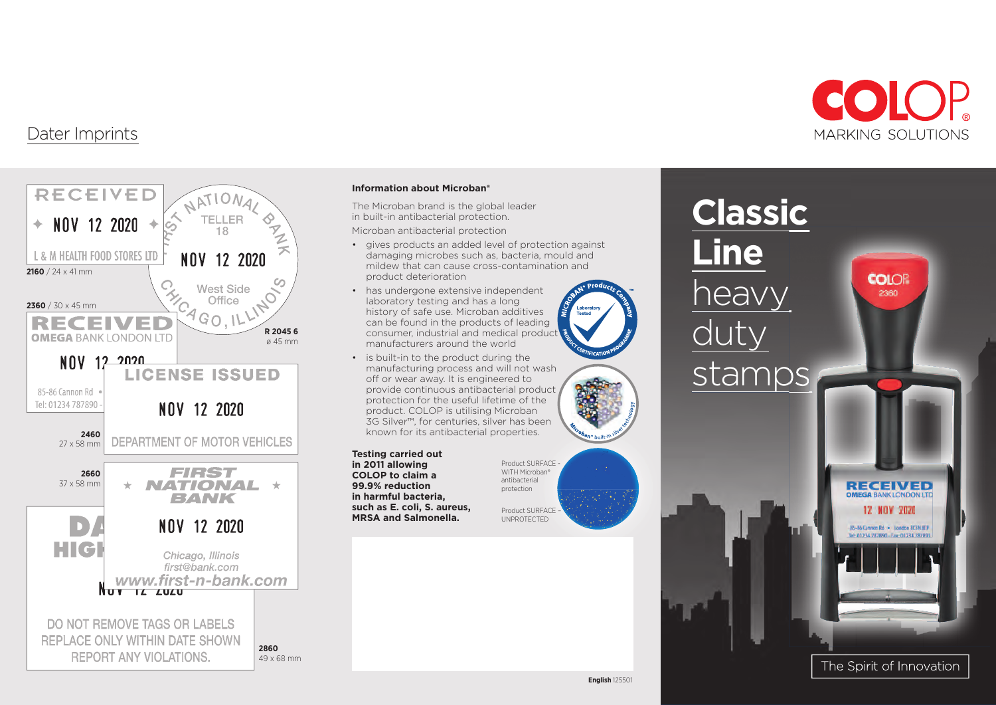

**COIOR** 

2360

### Dater Imprints



### **Information about Microban®**

The Microban brand is the global leader in built-in antibacterial protection.

Microban antibacterial protection

- gives products an added level of protection against damaging microbes such as, bacteria, mould and mildew that can cause cross-contamination and product deterioration
- has undergone extensive independent laboratory testing and has a long history of safe use. Microban additives can be found in the products of leading consumer, industrial and medical product manufacturers around the world
- 
- is built-in to the product during the manufacturing process and will not wash off or wear away. It is engineered to provide continuous antibacterial product protection for the useful lifetime of the product. COLOP is utilising Microban 3G Silver™, for centuries, silver has been known for its antibacterial properties.

#### **Testing carried out in 2011 allowing COLOP to claim a 99.9% reduction in harmful bacteria, such as E. coli, S. aureus,**

**MRSA and Salmonella.**

Product SURFACE WITH Microban® antibacterial protection Product SURFACE – UNPROTECTED



**Classic** 

**Line**



85-86 Cannon Rd - London EC3N SEP th 01234 787890 - Fax: 01234 78789



The Spirit of Innovation